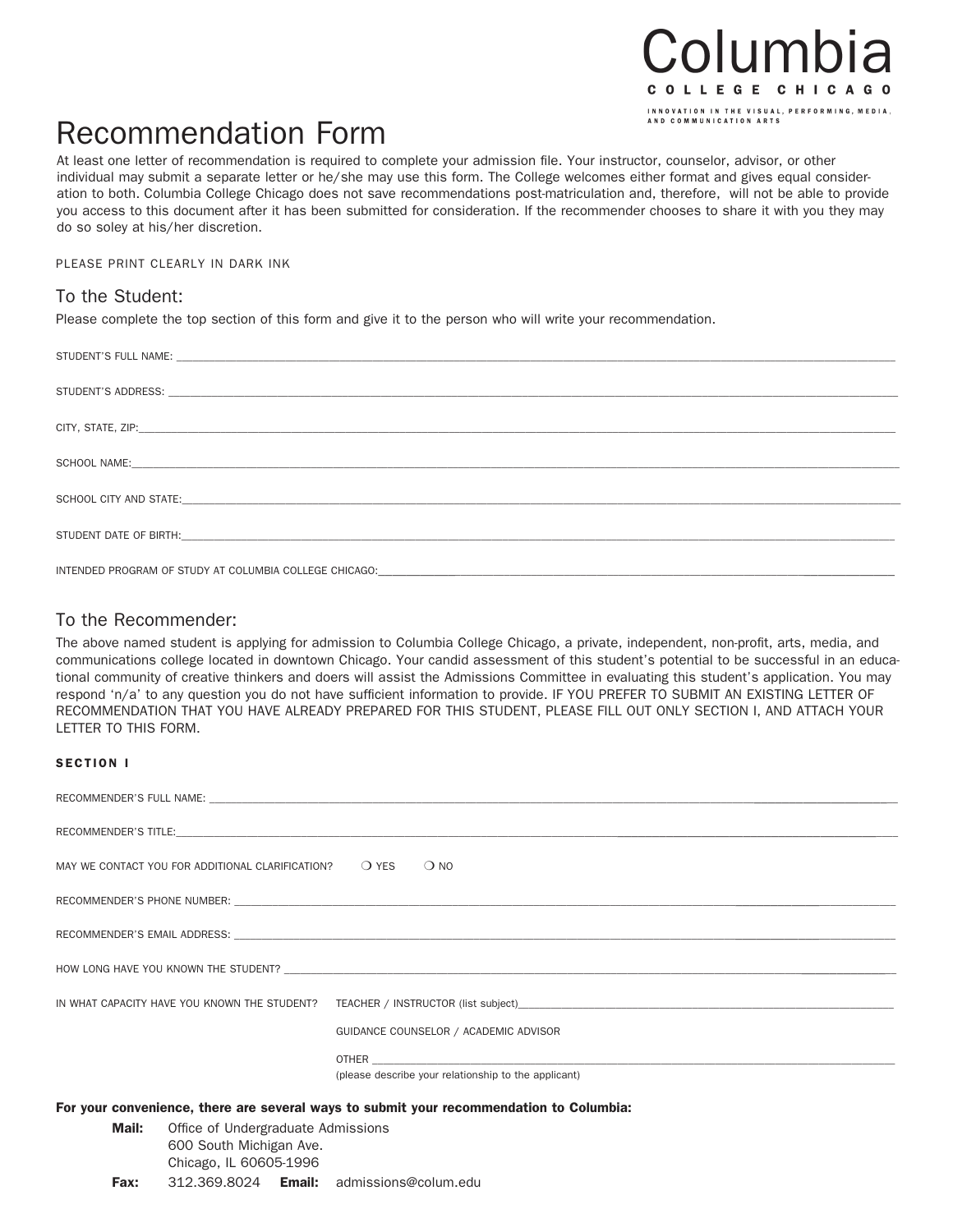## Columbia COLLEGE CHICAGO INNOVATION IN THE VISUAL, PERFORMING, MEDIA,<br>AND COMMUNICATION ARTS

# Recommendation Form

At least one letter of recommendation is required to complete your admission file. Your instructor, counselor, advisor, or other individual may submit a separate letter or he/she may use this form. The College welcomes either format and gives equal consideration to both. Columbia College Chicago does not save recommendations post-matriculation and, therefore, will not be able to provide you access to this document after it has been submitted for consideration. If the recommender chooses to share it with you they may do so soley at his/her discretion.

PLEASE PRINT CLEARLY IN DARK INK

### To the Student:

Please complete the top section of this form and give it to the person who will write your recommendation.

#### To the Recommender:

The above named student is applying for admission to Columbia College Chicago, a private, independent, non-profit, arts, media, and communications college located in downtown Chicago. Your candid assessment of this student's potential to be successful in an educational community of creative thinkers and doers will assist the Admissions Committee in evaluating this student's application. You may respond 'n/a' to any question you do not have sufficient information to provide. IF YOU PREFER TO SUBMIT AN EXISTING LETTER OF RECOMMENDATION THAT YOU HAVE ALREADY PREPARED FOR THIS STUDENT, PLEASE FILL OUT ONLY SECTION I, AND ATTACH YOUR LETTER TO THIS FORM.

#### SECTION I

|                                                                                         | MAY WE CONTACT YOU FOR ADDITIONAL CLARIFICATION? $\bigcirc$ YES $\bigcirc$ NO |                                                                                                                                                                                                                                |  |  |  |
|-----------------------------------------------------------------------------------------|-------------------------------------------------------------------------------|--------------------------------------------------------------------------------------------------------------------------------------------------------------------------------------------------------------------------------|--|--|--|
|                                                                                         |                                                                               |                                                                                                                                                                                                                                |  |  |  |
|                                                                                         |                                                                               |                                                                                                                                                                                                                                |  |  |  |
|                                                                                         |                                                                               |                                                                                                                                                                                                                                |  |  |  |
|                                                                                         |                                                                               |                                                                                                                                                                                                                                |  |  |  |
|                                                                                         |                                                                               |                                                                                                                                                                                                                                |  |  |  |
|                                                                                         |                                                                               |                                                                                                                                                                                                                                |  |  |  |
|                                                                                         |                                                                               |                                                                                                                                                                                                                                |  |  |  |
|                                                                                         |                                                                               |                                                                                                                                                                                                                                |  |  |  |
|                                                                                         |                                                                               | GUIDANCE COUNSELOR / ACADEMIC ADVISOR                                                                                                                                                                                          |  |  |  |
|                                                                                         |                                                                               | OTHER THE STATE OF THE STATE OF THE STATE OF THE STATE OF THE STATE OF THE STATE OF THE STATE OF THE STATE OF THE STATE OF THE STATE OF THE STATE OF THE STATE OF THE STATE OF THE STATE OF THE STATE OF THE STATE OF THE STAT |  |  |  |
|                                                                                         |                                                                               | (please describe your relationship to the applicant)                                                                                                                                                                           |  |  |  |
|                                                                                         |                                                                               |                                                                                                                                                                                                                                |  |  |  |
| For your convenience, there are several ways to submit your recommendation to Columbia: |                                                                               |                                                                                                                                                                                                                                |  |  |  |
| Mail:                                                                                   | Office of Undergraduate Admissions                                            |                                                                                                                                                                                                                                |  |  |  |
| 600 South Michigan Ave.                                                                 |                                                                               |                                                                                                                                                                                                                                |  |  |  |

Chicago, IL 60605-1996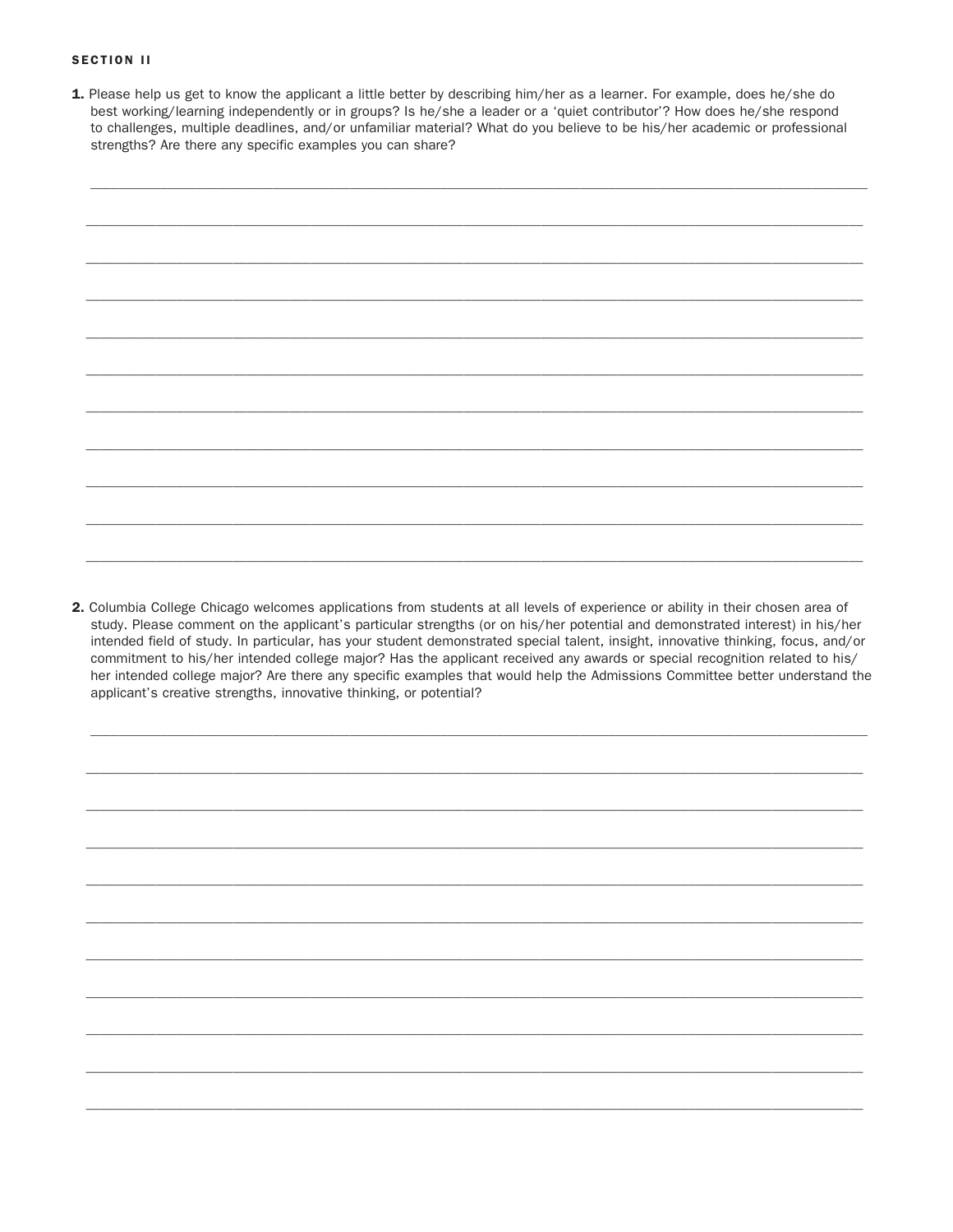#### **SECTION II**

1. Please help us get to know the applicant a little better by describing him/her as a learner. For example, does he/she do best working/learning independently or in groups? Is he/she a leader or a 'quiet contributor'? How does he/she respond to challenges, multiple deadlines, and/or unfamiliar material? What do you believe to be his/her academic or professional strengths? Are there any specific examples you can share?



2. Columbia College Chicago welcomes applications from students at all levels of experience or ability in their chosen area of study. Please comment on the applicant's particular strengths (or on his/her potential and demonstrated interest) in his/her intended field of study. In particular, has your student demonstrated special talent, insight, innovative thinking, focus, and/or commitment to his/her intended college major? Has the applicant received any awards or special recognition related to his/ her intended college major? Are there any specific examples that would help the Admissions Committee better understand the applicant's creative strengths, innovative thinking, or potential?